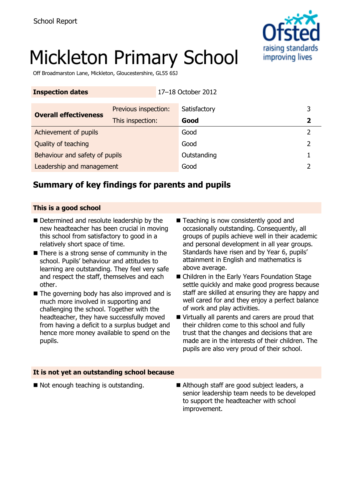

# Mickleton Primary School

Off Broadmarston Lane, Mickleton, Gloucestershire, GL55 6SJ

| <b>Inspection dates</b>        |                      | 17-18 October 2012 |              |   |
|--------------------------------|----------------------|--------------------|--------------|---|
| <b>Overall effectiveness</b>   | Previous inspection: |                    | Satisfactory | 3 |
|                                | This inspection:     |                    | Good         | 2 |
| Achievement of pupils          |                      |                    | Good         | 2 |
| Quality of teaching            |                      |                    | Good         |   |
| Behaviour and safety of pupils |                      |                    | Outstanding  |   |
| Leadership and management      |                      |                    | Good         |   |

# **Summary of key findings for parents and pupils**

#### **This is a good school**

- Determined and resolute leadership by the new headteacher has been crucial in moving this school from satisfactory to good in a relatively short space of time.
- $\blacksquare$  There is a strong sense of community in the school. Pupils' behaviour and attitudes to learning are outstanding. They feel very safe and respect the staff, themselves and each other.
- The governing body has also improved and is much more involved in supporting and challenging the school. Together with the headteacher, they have successfully moved from having a deficit to a surplus budget and hence more money available to spend on the pupils.
- Teaching is now consistently good and occasionally outstanding. Consequently, all groups of pupils achieve well in their academic and personal development in all year groups. Standards have risen and by Year 6, pupils' attainment in English and mathematics is above average.
- Children in the Early Years Foundation Stage settle quickly and make good progress because staff are skilled at ensuring they are happy and well cared for and they enjoy a perfect balance of work and play activities.
- Virtually all parents and carers are proud that their children come to this school and fully trust that the changes and decisions that are made are in the interests of their children. The pupils are also very proud of their school.

#### **It is not yet an outstanding school because**

- 
- $\blacksquare$  Not enough teaching is outstanding.  $\blacksquare$  Although staff are good subject leaders, a senior leadership team needs to be developed to support the headteacher with school improvement.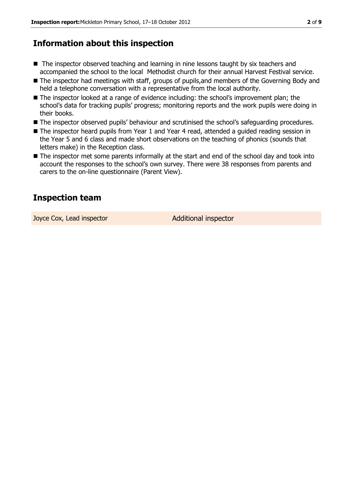# **Information about this inspection**

- The inspector observed teaching and learning in nine lessons taught by six teachers and accompanied the school to the local Methodist church for their annual Harvest Festival service.
- The inspector had meetings with staff, groups of pupils, and members of the Governing Body and held a telephone conversation with a representative from the local authority.
- The inspector looked at a range of evidence including: the school's improvement plan; the school's data for tracking pupils' progress; monitoring reports and the work pupils were doing in their books.
- The inspector observed pupils' behaviour and scrutinised the school's safeguarding procedures.
- The inspector heard pupils from Year 1 and Year 4 read, attended a guided reading session in the Year 5 and 6 class and made short observations on the teaching of phonics (sounds that letters make) in the Reception class.
- The inspector met some parents informally at the start and end of the school day and took into account the responses to the school's own survey. There were 38 responses from parents and carers to the on-line questionnaire (Parent View).

# **Inspection team**

Joyce Cox, Lead inspector **Additional inspector**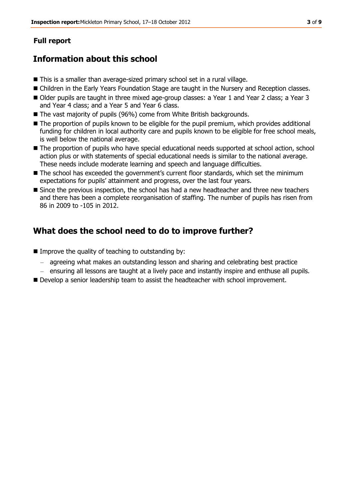## **Full report**

# **Information about this school**

- This is a smaller than average-sized primary school set in a rural village.
- Children in the Early Years Foundation Stage are taught in the Nursery and Reception classes.
- Older pupils are taught in three mixed age-group classes: a Year 1 and Year 2 class; a Year 3 and Year 4 class; and a Year 5 and Year 6 class.
- The vast majority of pupils (96%) come from White British backgrounds.
- The proportion of pupils known to be eligible for the pupil premium, which provides additional funding for children in local authority care and pupils known to be eligible for free school meals, is well below the national average.
- $\blacksquare$  The proportion of pupils who have special educational needs supported at school action, school action plus or with statements of special educational needs is similar to the national average. These needs include moderate learning and speech and language difficulties.
- The school has exceeded the government's current floor standards, which set the minimum expectations for pupils' attainment and progress, over the last four years.
- Since the previous inspection, the school has had a new headteacher and three new teachers and there has been a complete reorganisation of staffing. The number of pupils has risen from 86 in 2009 to -105 in 2012.

# **What does the school need to do to improve further?**

- $\blacksquare$  Improve the quality of teaching to outstanding by:
	- agreeing what makes an outstanding lesson and sharing and celebrating best practice
	- ensuring all lessons are taught at a lively pace and instantly inspire and enthuse all pupils.
- **Develop a senior leadership team to assist the headteacher with school improvement.**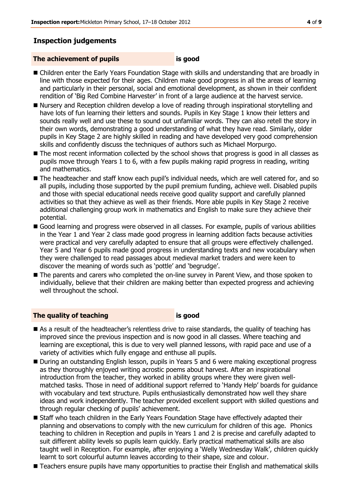### **Inspection judgements**

#### **The achievement of pupils is good**

- Children enter the Early Years Foundation Stage with skills and understanding that are broadly in line with those expected for their ages. Children make good progress in all the areas of learning and particularly in their personal, social and emotional development, as shown in their confident rendition of 'Big Red Combine Harvester' in front of a large audience at the harvest service.
- Nursery and Reception children develop a love of reading through inspirational storytelling and have lots of fun learning their letters and sounds. Pupils in Key Stage 1 know their letters and sounds really well and use these to sound out unfamiliar words. They can also retell the story in their own words, demonstrating a good understanding of what they have read. Similarly, older pupils in Key Stage 2 are highly skilled in reading and have developed very good comprehension skills and confidently discuss the techniques of authors such as Michael Morpurgo.
- The most recent information collected by the school shows that progress is good in all classes as pupils move through Years 1 to 6, with a few pupils making rapid progress in reading, writing and mathematics.
- The headteacher and staff know each pupil's individual needs, which are well catered for, and so all pupils, including those supported by the pupil premium funding, achieve well. Disabled pupils and those with special educational needs receive good quality support and carefully planned activities so that they achieve as well as their friends. More able pupils in Key Stage 2 receive additional challenging group work in mathematics and English to make sure they achieve their potential.
- Good learning and progress were observed in all classes. For example, pupils of various abilities in the Year 1 and Year 2 class made good progress in learning addition facts because activities were practical and very carefully adapted to ensure that all groups were effectively challenged. Year 5 and Year 6 pupils made good progress in understanding texts and new vocabulary when they were challenged to read passages about medieval market traders and were keen to discover the meaning of words such as 'pottle' and 'begrudge'.
- The parents and carers who completed the on-line survey in Parent View, and those spoken to individually, believe that their children are making better than expected progress and achieving well throughout the school.

#### **The quality of teaching is good**

- As a result of the headteacher's relentless drive to raise standards, the quality of teaching has improved since the previous inspection and is now good in all classes. Where teaching and learning are exceptional, this is due to very well planned lessons, with rapid pace and use of a variety of activities which fully engage and enthuse all pupils.
- During an outstanding English lesson, pupils in Years 5 and 6 were making exceptional progress as they thoroughly enjoyed writing acrostic poems about harvest. After an inspirational introduction from the teacher, they worked in ability groups where they were given wellmatched tasks. Those in need of additional support referred to 'Handy Help' boards for guidance with vocabulary and text structure. Pupils enthusiastically demonstrated how well they share ideas and work independently. The teacher provided excellent support with skilled questions and through regular checking of pupils' achievement.
- Staff who teach children in the Early Years Foundation Stage have effectively adapted their planning and observations to comply with the new curriculum for children of this age. Phonics teaching to children in Reception and pupils in Years 1 and 2 is precise and carefully adapted to suit different ability levels so pupils learn quickly. Early practical mathematical skills are also taught well in Reception. For example, after enjoying a 'Welly Wednesday Walk', children quickly learnt to sort colourful autumn leaves according to their shape, size and colour.
- **Teachers ensure pupils have many opportunities to practise their English and mathematical skills**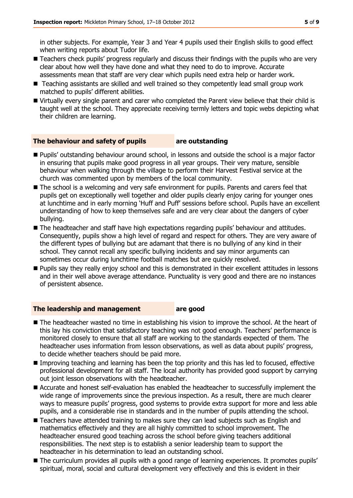in other subjects. For example, Year 3 and Year 4 pupils used their English skills to good effect when writing reports about Tudor life.

- Teachers check pupils' progress regularly and discuss their findings with the pupils who are very clear about how well they have done and what they need to do to improve. Accurate assessments mean that staff are very clear which pupils need extra help or harder work.
- Teaching assistants are skilled and well trained so they competently lead small group work matched to pupils' different abilities.
- Virtually every single parent and carer who completed the Parent view believe that their child is taught well at the school. They appreciate receiving termly letters and topic webs depicting what their children are learning.

#### **The behaviour and safety of pupils are outstanding**

- Pupils' outstanding behaviour around school, in lessons and outside the school is a major factor in ensuring that pupils make good progress in all year groups. Their very mature, sensible behaviour when walking through the village to perform their Harvest Festival service at the church was commented upon by members of the local community.
- The school is a welcoming and very safe environment for pupils. Parents and carers feel that pupils get on exceptionally well together and older pupils clearly enjoy caring for younger ones at lunchtime and in early morning 'Huff and Puff' sessions before school. Pupils have an excellent understanding of how to keep themselves safe and are very clear about the dangers of cyber bullying.
- The headteacher and staff have high expectations regarding pupils' behaviour and attitudes. Consequently, pupils show a high level of regard and respect for others. They are very aware of the different types of bullying but are adamant that there is no bullying of any kind in their school. They cannot recall any specific bullying incidents and say minor arguments can sometimes occur during lunchtime football matches but are quickly resolved.
- **Pupils say they really enjoy school and this is demonstrated in their excellent attitudes in lessons** and in their well above average attendance. Punctuality is very good and there are no instances of persistent absence.

#### **The leadership and management are good**

- The headteacher wasted no time in establishing his vision to improve the school. At the heart of this lay his conviction that satisfactory teaching was not good enough. Teachers' performance is monitored closely to ensure that all staff are working to the standards expected of them. The headteacher uses information from lesson observations, as well as data about pupils' progress, to decide whether teachers should be paid more.
- Improving teaching and learning has been the top priority and this has led to focused, effective professional development for all staff. The local authority has provided good support by carrying out joint lesson observations with the headteacher.
- Accurate and honest self-evaluation has enabled the headteacher to successfully implement the wide range of improvements since the previous inspection. As a result, there are much clearer ways to measure pupils' progress, good systems to provide extra support for more and less able pupils, and a considerable rise in standards and in the number of pupils attending the school.
- Teachers have attended training to makes sure they can lead subjects such as English and mathematics effectively and they are all highly committed to school improvement. The headteacher ensured good teaching across the school before giving teachers additional responsibilities. The next step is to establish a senior leadership team to support the headteacher in his determination to lead an outstanding school.
- The curriculum provides all pupils with a good range of learning experiences. It promotes pupils' spiritual, moral, social and cultural development very effectively and this is evident in their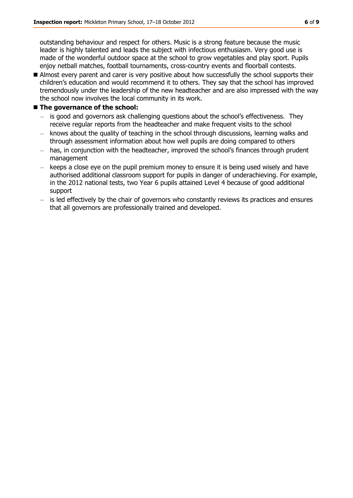outstanding behaviour and respect for others. Music is a strong feature because the music leader is highly talented and leads the subject with infectious enthusiasm. Very good use is made of the wonderful outdoor space at the school to grow vegetables and play sport. Pupils enjoy netball matches, football tournaments, cross-country events and floorball contests.

Almost every parent and carer is very positive about how successfully the school supports their children's education and would recommend it to others. They say that the school has improved tremendously under the leadership of the new headteacher and are also impressed with the way the school now involves the local community in its work.

#### **The governance of the school:**

- is good and governors ask challenging questions about the school's effectiveness. They receive regular reports from the headteacher and make frequent visits to the school
- knows about the quality of teaching in the school through discussions, learning walks and through assessment information about how well pupils are doing compared to others
- has, in conjunction with the headteacher, improved the school's finances through prudent management
- keeps a close eye on the pupil premium money to ensure it is being used wisely and have authorised additional classroom support for pupils in danger of underachieving. For example, in the 2012 national tests, two Year 6 pupils attained Level 4 because of good additional support
- is led effectively by the chair of governors who constantly reviews its practices and ensures that all governors are professionally trained and developed.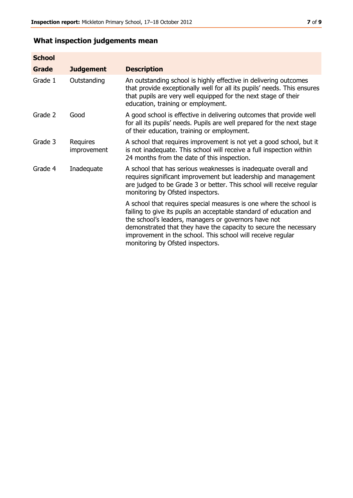# **What inspection judgements mean**

| <b>School</b> |                                |                                                                                                                                                                                                                                                                                                                                                                         |
|---------------|--------------------------------|-------------------------------------------------------------------------------------------------------------------------------------------------------------------------------------------------------------------------------------------------------------------------------------------------------------------------------------------------------------------------|
| Grade         | <b>Judgement</b>               | <b>Description</b>                                                                                                                                                                                                                                                                                                                                                      |
| Grade 1       | Outstanding                    | An outstanding school is highly effective in delivering outcomes<br>that provide exceptionally well for all its pupils' needs. This ensures<br>that pupils are very well equipped for the next stage of their<br>education, training or employment.                                                                                                                     |
| Grade 2       | Good                           | A good school is effective in delivering outcomes that provide well<br>for all its pupils' needs. Pupils are well prepared for the next stage<br>of their education, training or employment.                                                                                                                                                                            |
| Grade 3       | <b>Requires</b><br>improvement | A school that requires improvement is not yet a good school, but it<br>is not inadequate. This school will receive a full inspection within<br>24 months from the date of this inspection.                                                                                                                                                                              |
| Grade 4       | Inadequate                     | A school that has serious weaknesses is inadequate overall and<br>requires significant improvement but leadership and management<br>are judged to be Grade 3 or better. This school will receive regular<br>monitoring by Ofsted inspectors.                                                                                                                            |
|               |                                | A school that requires special measures is one where the school is<br>failing to give its pupils an acceptable standard of education and<br>the school's leaders, managers or governors have not<br>demonstrated that they have the capacity to secure the necessary<br>improvement in the school. This school will receive regular<br>monitoring by Ofsted inspectors. |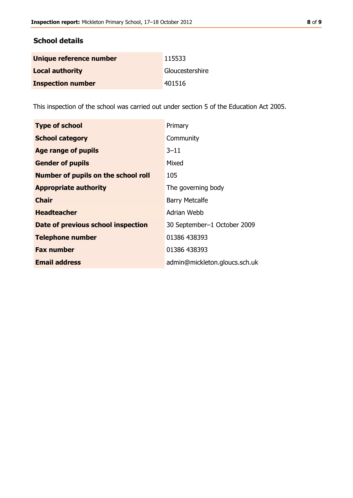### **School details**

| Unique reference number  | 115533          |
|--------------------------|-----------------|
| <b>Local authority</b>   | Gloucestershire |
| <b>Inspection number</b> | 401516          |

This inspection of the school was carried out under section 5 of the Education Act 2005.

| <b>Type of school</b>                      | Primary                       |
|--------------------------------------------|-------------------------------|
| <b>School category</b>                     | Community                     |
| Age range of pupils                        | $3 - 11$                      |
| <b>Gender of pupils</b>                    | Mixed                         |
| <b>Number of pupils on the school roll</b> | 105                           |
| <b>Appropriate authority</b>               | The governing body            |
| <b>Chair</b>                               | <b>Barry Metcalfe</b>         |
| <b>Headteacher</b>                         | Adrian Webb                   |
| Date of previous school inspection         | 30 September-1 October 2009   |
| <b>Telephone number</b>                    | 01386 438393                  |
| <b>Fax number</b>                          | 01386 438393                  |
| <b>Email address</b>                       | admin@mickleton.gloucs.sch.uk |